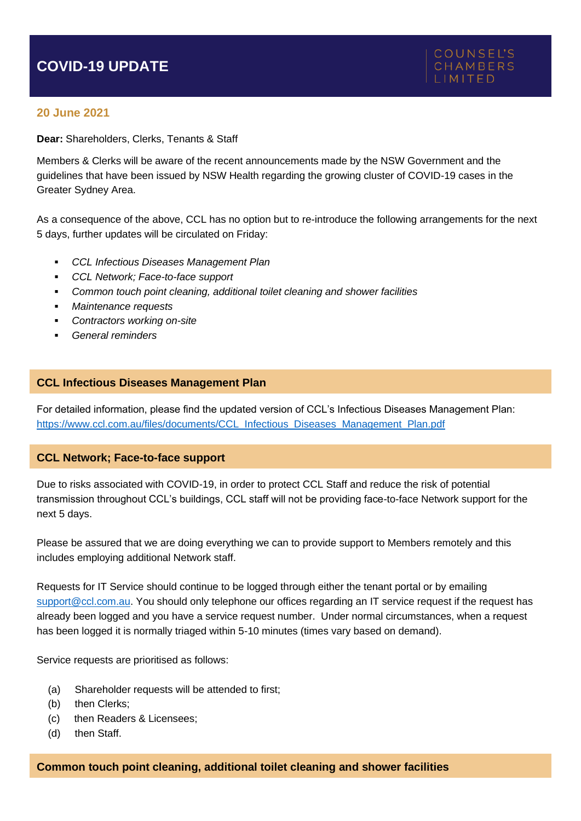# **COVID-19 UPDATE**

### **20 June 2021**

**Dear:** Shareholders, Clerks, Tenants & Staff

Members & Clerks will be aware of the recent announcements made by the NSW Government and the guidelines that have been issued by NSW Health regarding the growing cluster of COVID-19 cases in the Greater Sydney Area.

As a consequence of the above, CCL has no option but to re-introduce the following arrangements for the next 5 days, further updates will be circulated on Friday:

- *CCL Infectious Diseases Management Plan*
- *CCL Network; Face-to-face support*
- *Common touch point cleaning, additional toilet cleaning and shower facilities*
- *Maintenance requests*
- *Contractors working on-site*
- *General reminders*

#### **CCL Infectious Diseases Management Plan**

For detailed information, please find the updated version of CCL's Infectious Diseases Management Plan: [https://www.ccl.com.au/files/documents/CCL\\_Infectious\\_Diseases\\_Management\\_Plan.pdf](https://www.ccl.com.au/files/documents/CCL_Infectious_Diseases_Management_Plan.pdf)

#### **CCL Network; Face-to-face support**

Due to risks associated with COVID-19, in order to protect CCL Staff and reduce the risk of potential transmission throughout CCL's buildings, CCL staff will not be providing face-to-face Network support for the next 5 days.

Please be assured that we are doing everything we can to provide support to Members remotely and this includes employing additional Network staff.

Requests for IT Service should continue to be logged through either the tenant portal or by emailing [support@ccl.com.au.](mailto:support@ccl.com.au) You should only telephone our offices regarding an IT service request if the request has already been logged and you have a service request number. Under normal circumstances, when a request has been logged it is normally triaged within 5-10 minutes (times vary based on demand).

Service requests are prioritised as follows:

- (a) Shareholder requests will be attended to first;
- (b) then Clerks;
- (c) then Readers & Licensees;
- (d) then Staff.

#### **Common touch point cleaning, additional toilet cleaning and shower facilities**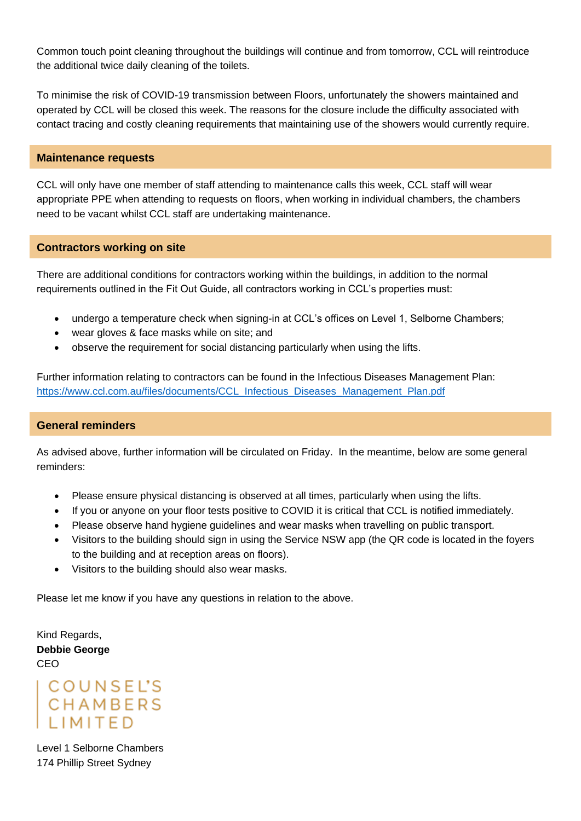Common touch point cleaning throughout the buildings will continue and from tomorrow, CCL will reintroduce the additional twice daily cleaning of the toilets.

To minimise the risk of COVID-19 transmission between Floors, unfortunately the showers maintained and operated by CCL will be closed this week. The reasons for the closure include the difficulty associated with contact tracing and costly cleaning requirements that maintaining use of the showers would currently require.

#### **Maintenance requests**

CCL will only have one member of staff attending to maintenance calls this week, CCL staff will wear appropriate PPE when attending to requests on floors, when working in individual chambers, the chambers need to be vacant whilst CCL staff are undertaking maintenance.

#### **Contractors working on site**

There are additional conditions for contractors working within the buildings, in addition to the normal requirements outlined in the Fit Out Guide, all contractors working in CCL's properties must:

- undergo a temperature check when signing-in at CCL's offices on Level 1, Selborne Chambers;
- wear gloves & face masks while on site; and
- observe the requirement for social distancing particularly when using the lifts.

Further information relating to contractors can be found in the Infectious Diseases Management Plan: [https://www.ccl.com.au/files/documents/CCL\\_Infectious\\_Diseases\\_Management\\_Plan.pdf](https://www.ccl.com.au/files/documents/CCL_Infectious_Diseases_Management_Plan.pdf)

#### **General reminders**

As advised above, further information will be circulated on Friday. In the meantime, below are some general reminders:

- Please ensure physical distancing is observed at all times, particularly when using the lifts.
- If you or anyone on your floor tests positive to COVID it is critical that CCL is notified immediately.
- Please observe hand hygiene guidelines and wear masks when travelling on public transport.
- Visitors to the building should sign in using the Service NSW app (the QR code is located in the fovers to the building and at reception areas on floors).
- Visitors to the building should also wear masks.

Please let me know if you have any questions in relation to the above.

Kind Regards, **Debbie George** CEO

# COUNSEL'S<br>CHAMBERS<br>LIMITED

Level 1 Selborne Chambers 174 Phillip Street Sydney